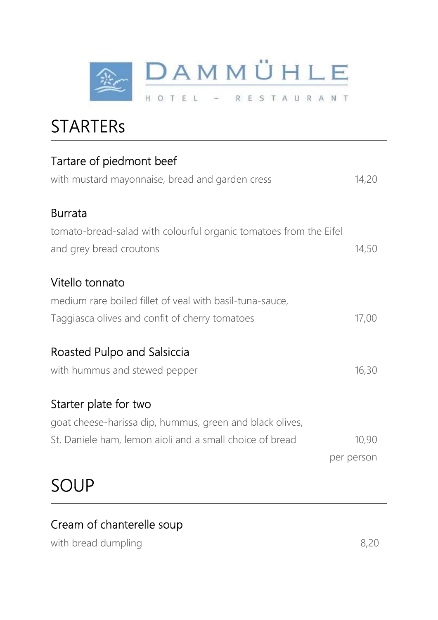

## **STARTERS**

| Tartare of piedmont beef                                          |            |
|-------------------------------------------------------------------|------------|
| with mustard mayonnaise, bread and garden cress                   | 14,20      |
| <b>Burrata</b>                                                    |            |
| tomato-bread-salad with colourful organic tomatoes from the Eifel |            |
| and grey bread croutons                                           | 14,50      |
| Vitello tonnato                                                   |            |
| medium rare boiled fillet of veal with basil-tuna-sauce,          |            |
| Taggiasca olives and confit of cherry tomatoes                    | 17,00      |
| Roasted Pulpo and Salsiccia                                       |            |
| with hummus and stewed pepper                                     | 16,30      |
| Starter plate for two                                             |            |
| goat cheese-harissa dip, hummus, green and black olives,          |            |
| St. Daniele ham, lemon aioli and a small choice of bread          | 10,90      |
|                                                                   | per person |
|                                                                   |            |

#### Cream of chanterelle soup

with bread dumpling 8,20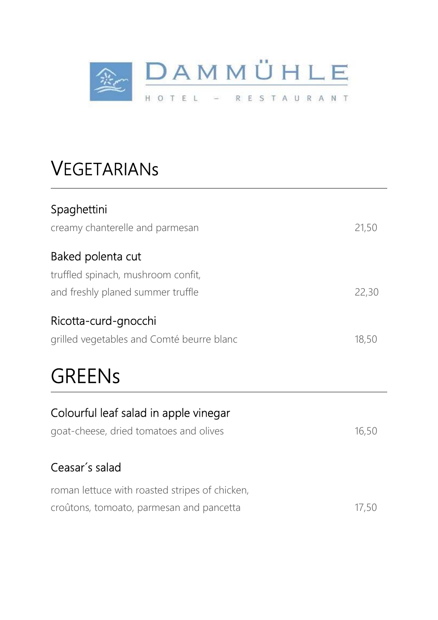

## VEGETARIANs

| Spaghettini |  |
|-------------|--|
|-------------|--|

| creamy chanterelle and parmesan           | 21,50 |
|-------------------------------------------|-------|
| Baked polenta cut                         |       |
| truffled spinach, mushroom confit,        |       |
| and freshly planed summer truffle         | 22,30 |
| Ricotta-curd-gnocchi                      |       |
| grilled vegetables and Comté beurre blanc | 18,50 |

## GREENs

| Colourful leaf salad in apple vinegar          |       |
|------------------------------------------------|-------|
| goat-cheese, dried tomatoes and olives         | 16,50 |
| Ceasar's salad                                 |       |
| roman lettuce with roasted stripes of chicken, |       |
| croûtons, tomoato, parmesan and pancetta       |       |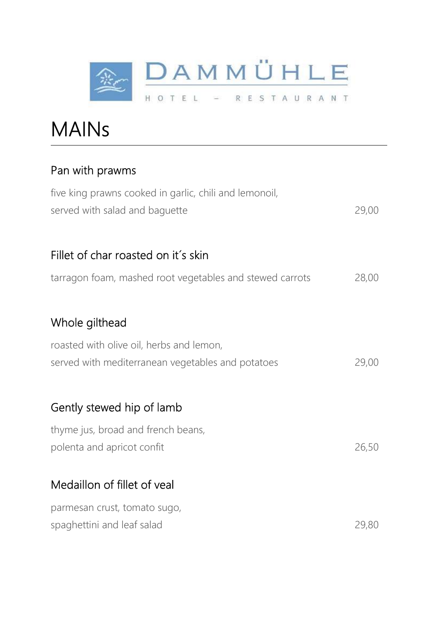

MAINs

#### Pan with prawms

| five king prawns cooked in garlic, chili and lemonoil,<br>served with salad and baguette | 29,00 |
|------------------------------------------------------------------------------------------|-------|
| Fillet of char roasted on it's skin                                                      |       |
| tarragon foam, mashed root vegetables and stewed carrots                                 | 28,00 |
| Whole gilthead                                                                           |       |
|                                                                                          |       |
| roasted with olive oil, herbs and lemon,                                                 |       |
| served with mediterranean vegetables and potatoes                                        | 29,00 |
| Gently stewed hip of lamb                                                                |       |
| thyme jus, broad and french beans,                                                       |       |
| polenta and apricot confit                                                               | 26,50 |
| Medaillon of fillet of veal                                                              |       |
| parmesan crust, tomato sugo,                                                             |       |
| spaghettini and leaf salad                                                               | 29,80 |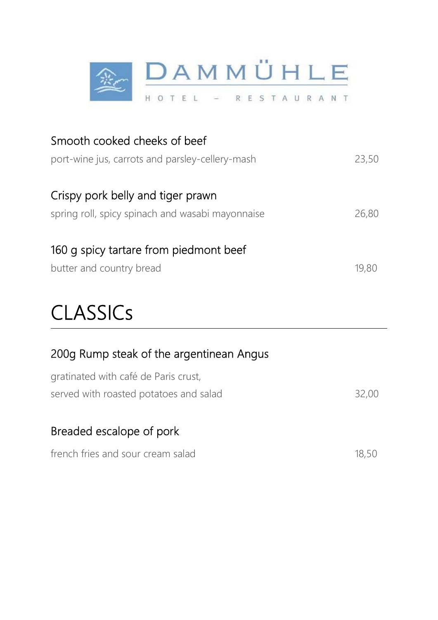

| Smooth cooked cheeks of beef<br>port-wine jus, carrots and parsley-cellery-mash       | 23,50 |
|---------------------------------------------------------------------------------------|-------|
| Crispy pork belly and tiger prawn<br>spring roll, spicy spinach and wasabi mayonnaise | 26,80 |
| 160 q spicy tartare from piedmont beef<br>butter and country bread                    | 19.80 |

# **CLASSICs**

|  |  |  | 200g Rump steak of the argentinean Angus |  |
|--|--|--|------------------------------------------|--|
|--|--|--|------------------------------------------|--|

| gratinated with café de Paris crust,   |       |
|----------------------------------------|-------|
| served with roasted potatoes and salad | 32,00 |

#### Breaded escalope of pork

| french fries and sour cream salad | 18,50 |
|-----------------------------------|-------|
|                                   |       |